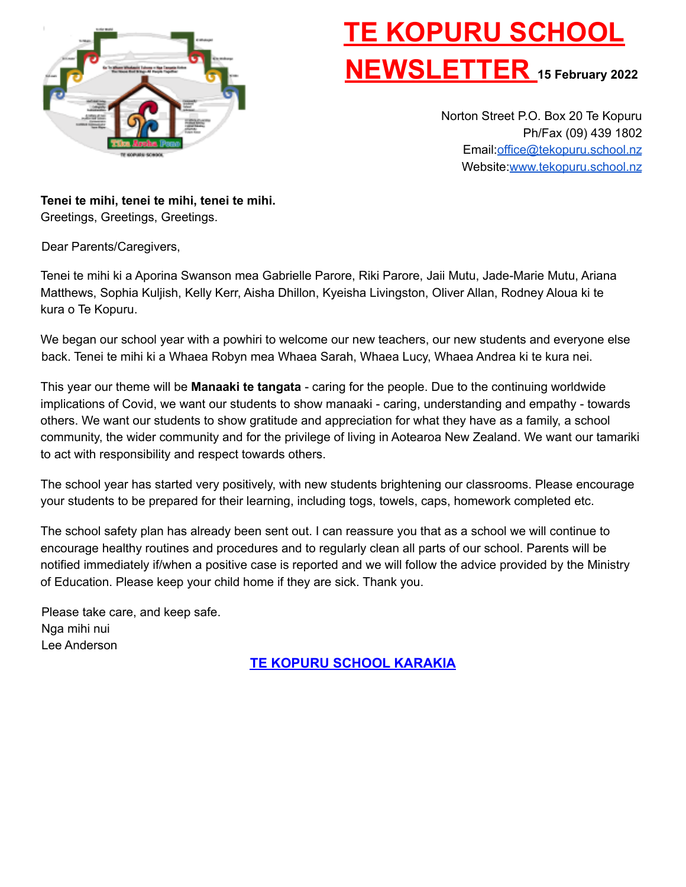

# **TE KOPURU SCHOOL NEWSLETTER <sup>15</sup> February <sup>2022</sup>**

Norton Street P.O. Box 20 Te Kopuru Ph/Fax (09) 439 1802 Email:office@tekopuru.school.nz Website:www.tekopuru.school.nz

**Tenei te mihi, tenei te mihi, tenei te mihi.** Greetings, Greetings, Greetings.

Dear Parents/Caregivers,

Tenei te mihi ki a Aporina Swanson mea Gabrielle Parore, Riki Parore, Jaii Mutu, Jade-Marie Mutu, Ariana Matthews, Sophia Kuljish, Kelly Kerr, Aisha Dhillon, Kyeisha Livingston, Oliver Allan, Rodney Aloua ki te kura o Te Kopuru.

We began our school year with a powhiri to welcome our new teachers, our new students and everyone else back. Tenei te mihi ki a Whaea Robyn mea Whaea Sarah, Whaea Lucy, Whaea Andrea ki te kura nei.

This year our theme will be **Manaaki te tangata** - caring for the people. Due to the continuing worldwide implications of Covid, we want our students to show manaaki - caring, understanding and empathy - towards others. We want our students to show gratitude and appreciation for what they have as a family, a school community, the wider community and for the privilege of living in Aotearoa New Zealand. We want our tamariki to act with responsibility and respect towards others.

The school year has started very positively, with new students brightening our classrooms. Please encourage your students to be prepared for their learning, including togs, towels, caps, homework completed etc.

The school safety plan has already been sent out. I can reassure you that as a school we will continue to encourage healthy routines and procedures and to regularly clean all parts of our school. Parents will be notified immediately if/when a positive case is reported and we will follow the advice provided by the Ministry of Education. Please keep your child home if they are sick. Thank you.

Please take care, and keep safe. Nga mihi nui Lee Anderson

**TE KOPURU SCHOOL KARAKIA**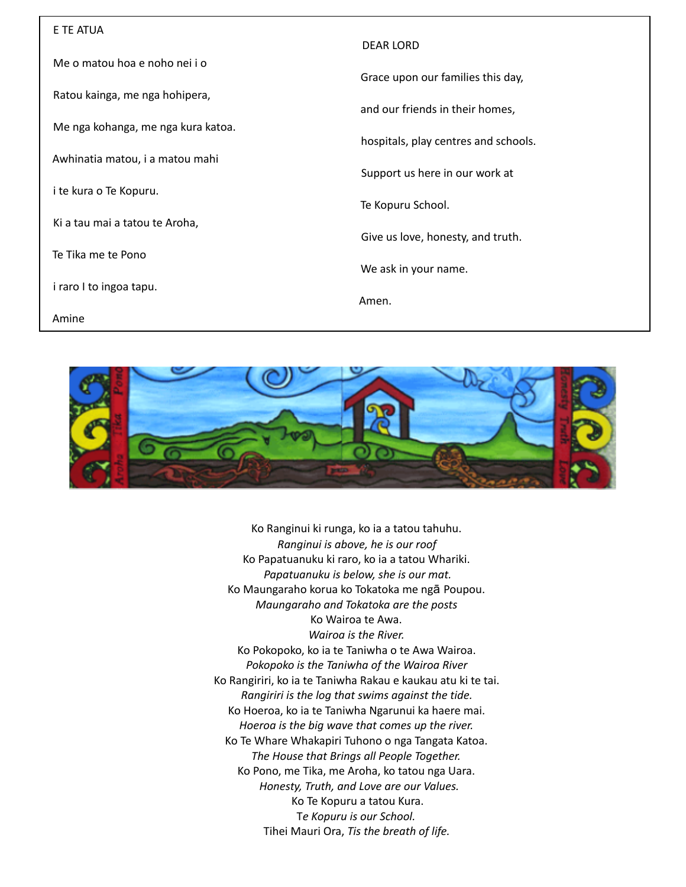| E TE ATUA                          |                                      |
|------------------------------------|--------------------------------------|
|                                    | <b>DEAR LORD</b>                     |
| Me o matou hoa e noho nei i o      |                                      |
| Ratou kainga, me nga hohipera,     | Grace upon our families this day,    |
|                                    | and our friends in their homes,      |
| Me nga kohanga, me nga kura katoa. |                                      |
|                                    | hospitals, play centres and schools. |
| Awhinatia matou, i a matou mahi    |                                      |
| i te kura o Te Kopuru.             | Support us here in our work at       |
|                                    | Te Kopuru School.                    |
| Ki a tau mai a tatou te Aroha,     |                                      |
|                                    | Give us love, honesty, and truth.    |
| Te Tika me te Pono                 |                                      |
| i raro I to ingoa tapu.            | We ask in your name.                 |
|                                    | Amen.                                |
| Amine                              |                                      |



Ko Ranginui ki runga, ko ia a tatou tahuhu. *Ranginui is above, he is our roof* Ko Papatuanuku ki raro, ko ia a tatou Whariki. *Papatuanuku is below, she is our mat.* Ko Maungaraho korua ko Tokatoka me ngā Poupou. *Maungaraho and Tokatoka are the posts* Ko Wairoa te Awa. *Wairoa is the River.* Ko Pokopoko, ko ia te Taniwha o te Awa Wairoa. *Pokopoko is the Taniwha of the Wairoa River* Ko Rangiriri, ko ia te Taniwha Rakau e kaukau atu ki te tai. *Rangiriri is the log that swims against the tide.* Ko Hoeroa, ko ia te Taniwha Ngarunui ka haere mai. *Hoeroa is the big wave that comes up the river.* Ko Te Whare Whakapiri Tuhono o nga Tangata Katoa. *The House that Brings all People Together.* Ko Pono, me Tika, me Aroha, ko tatou nga Uara. *Honesty, Truth, and Love are our Values.* Ko Te Kopuru a tatou Kura. T*e Kopuru is our School.* Tihei Mauri Ora, *Tis the breath of life.*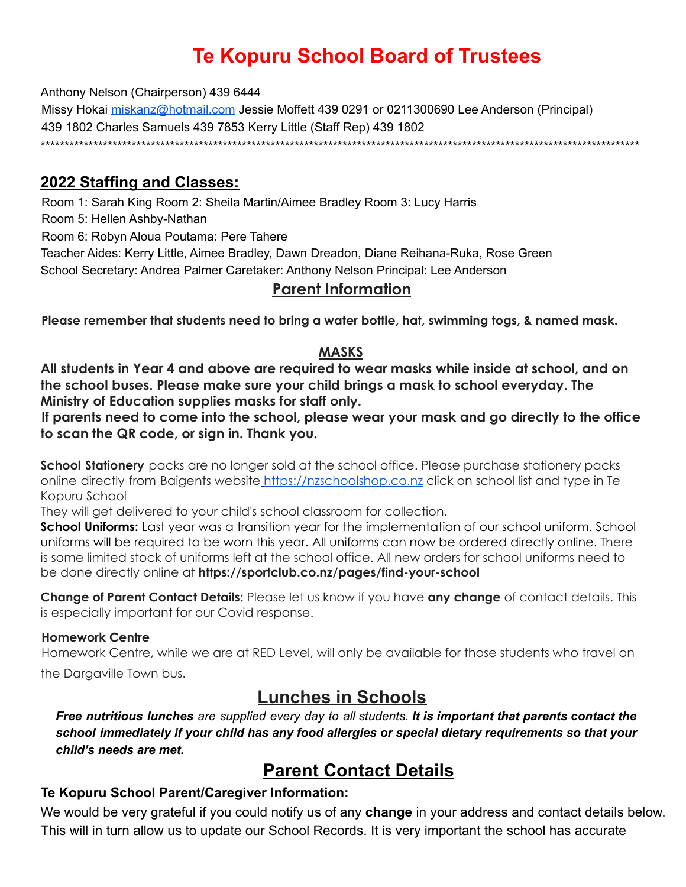# **Te Kopuru School Board of Trustees**

Anthony Nelson (Chairperson) 439 6444

Missy Hokai miskanz@hotmail.com Jessie Moffett 439 0291 or 0211300690 Lee Anderson (Principal) 439 1802 Charles Samuels 439 7853 Kerry Little (Staff Rep) 439 1802 \*\*\*\*\*\*\*\*\*\*\*\*\*\*\*\*\*\*\*\*\*\*\*\*\*\*\*\*\*\*\*\*\*\*\*\*\*\*\*\*\*\*\*\*\*\*\*\*\*\*\*\*\*\*\*\*\*\*\*\*\*\*\*\*\*\*\*\*\*\*\*\*\*\*\*\*\*\*\*\*\*\*\*\*\*\*\*\*\*\*\*\*\*\*\*\*\*\*\*\*\*\*\*\*\*\*\*\*\*\*\*\*\*\*\*\*\*\*\*\*\*\*\*\*\*

#### **2022 Staffing and Classes:**

Room 1: Sarah King Room 2: Sheila Martin/Aimee Bradley Room 3: Lucy Harris

Room 5: Hellen Ashby-Nathan

Room 6: Robyn Aloua Poutama: Pere Tahere

Teacher Aides: Kerry Little, Aimee Bradley, Dawn Dreadon, Diane Reihana-Ruka, Rose Green School Secretary: Andrea Palmer Caretaker: Anthony Nelson Principal: Lee Anderson

#### **Parent Information**

**Please remember that students need to bring a water bottle, hat, swimming togs, & named mask.**

#### **MASKS**

**All students in Year 4 and above are required to wear masks while inside at school, and on the school buses. Please make sure your child brings a mask to school everyday. The Ministry of Education supplies masks for staff only.**

**If parents need to come into the school, please wear your mask and go directly to the office to scan the QR code, or sign in. Thank you.**

**School Stationery** packs are no longer sold at the school office. Please purchase stationery packs online directly from Baigents website https://nzschoolshop.co.nz click on school list and type in Te Kopuru School

They will get delivered to your child's school classroom for collection.

**School Uniforms:** Last year was a transition year for the implementation of our school uniform. School uniforms will be required to be worn this year. All uniforms can now be ordered directly online. There is some limited stock of uniforms left at the school office. All new orders for school uniforms need to be done directly online at **https://sportclub.co.nz/pages/find-your-school**

**Change of Parent Contact Details:** Please let us know if you have **any change** of contact details. This is especially important for our Covid response.

#### **Homework Centre**

Homework Centre, while we are at RED Level, will only be available for those students who travel on the Dargaville Town bus.

## **Lunches in Schools**

*Free nutritious lunches are supplied every day to all students. It is important that parents contact the school immediately if your child has any food allergies or special dietary requirements so that your child's needs are met.*

### **Parent Contact Details**

#### **Te Kopuru School Parent/Caregiver Information:**

We would be very grateful if you could notify us of any **change** in your address and contact details below. This will in turn allow us to update our School Records. It is very important the school has accurate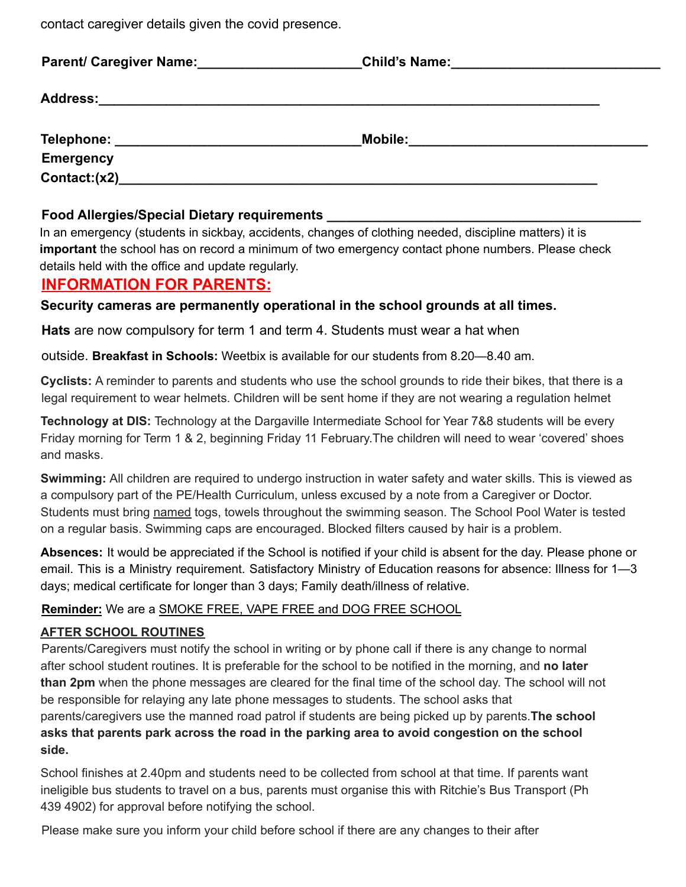contact caregiver details given the covid presence.

| <b>Parent/ Caregiver Name:</b>        | <b>Child's Name:</b>                                                                                                                   |  |
|---------------------------------------|----------------------------------------------------------------------------------------------------------------------------------------|--|
| <b>Address:</b>                       |                                                                                                                                        |  |
| Telephone: __________________________ | <b>Mobile:</b><br><u> 1980 - Jan Sterling von de Sterling von de Sterling von de Sterling von de Sterling von de Sterling von de S</u> |  |
| <b>Emergency</b>                      |                                                                                                                                        |  |
| Context:(x2)                          |                                                                                                                                        |  |

#### **Food Allergies/Special Dietary requirements \_\_\_\_\_\_\_\_\_\_\_\_\_\_\_\_\_\_\_\_\_\_\_\_\_\_\_\_\_\_\_\_\_\_\_\_\_\_\_\_\_\_**

In an emergency (students in sickbay, accidents, changes of clothing needed, discipline matters) it is **important** the school has on record a minimum of two emergency contact phone numbers. Please check details held with the office and update regularly.

#### **INFORMATION FOR PARENTS:**

#### **Security cameras are permanently operational in the school grounds at all times.**

**Hats** are now compulsory for term 1 and term 4. Students must wear a hat when

outside. **Breakfast in Schools:** Weetbix is available for our students from 8.20—8.40 am.

**Cyclists:** A reminder to parents and students who use the school grounds to ride their bikes, that there is a legal requirement to wear helmets. Children will be sent home if they are not wearing a regulation helmet

**Technology at DIS:** Technology at the Dargaville Intermediate School for Year 7&8 students will be every Friday morning for Term 1 & 2, beginning Friday 11 February.The children will need to wear 'covered' shoes and masks.

**Swimming:** All children are required to undergo instruction in water safety and water skills. This is viewed as a compulsory part of the PE/Health Curriculum, unless excused by a note from a Caregiver or Doctor. Students must bring named togs, towels throughout the swimming season. The School Pool Water is tested on a regular basis. Swimming caps are encouraged. Blocked filters caused by hair is a problem.

**Absences:** It would be appreciated if the School is notified if your child is absent for the day. Please phone or email. This is a Ministry requirement. Satisfactory Ministry of Education reasons for absence: Illness for 1—3 days; medical certificate for longer than 3 days; Family death/illness of relative.

#### **Reminder:** We are a SMOKE FREE, VAPE FREE and DOG FREE SCHOOL

#### **AFTER SCHOOL ROUTINES**

Parents/Caregivers must notify the school in writing or by phone call if there is any change to normal after school student routines. It is preferable for the school to be notified in the morning, and **no later than 2pm** when the phone messages are cleared for the final time of the school day. The school will not be responsible for relaying any late phone messages to students. The school asks that parents/caregivers use the manned road patrol if students are being picked up by parents.**The school asks that parents park across the road in the parking area to avoid congestion on the school side.**

School finishes at 2.40pm and students need to be collected from school at that time. If parents want ineligible bus students to travel on a bus, parents must organise this with Ritchie's Bus Transport (Ph 439 4902) for approval before notifying the school.

Please make sure you inform your child before school if there are any changes to their after